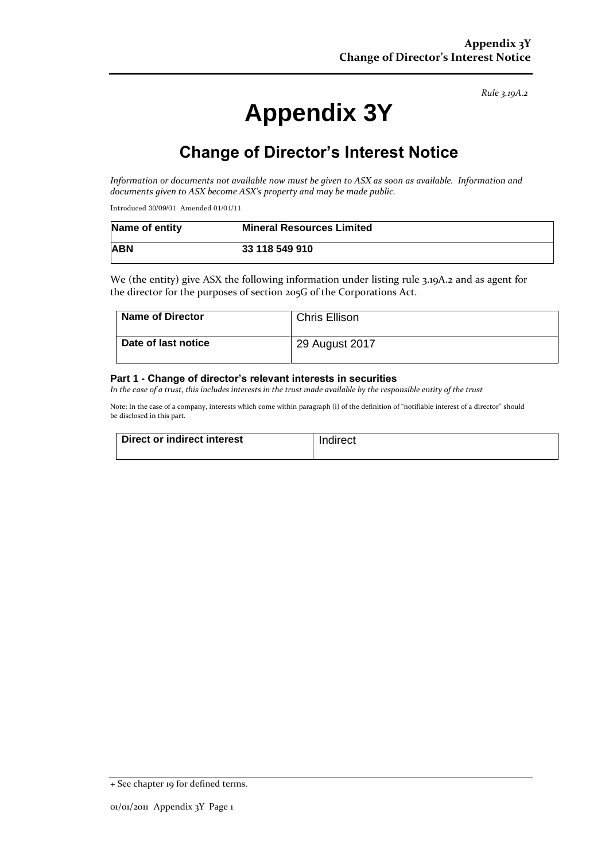*Rule 3.19A.2*

# **Appendix 3Y**

## **Change of Director's Interest Notice**

*Information or documents not available now must be given to ASX as soon as available. Information and documents given to ASX become ASX's property and may be made public.*

Introduced 30/09/01 Amended 01/01/11

| Name of entity | <b>Mineral Resources Limited</b> |
|----------------|----------------------------------|
| <b>ABN</b>     | 33 118 549 910                   |

We (the entity) give ASX the following information under listing rule 3.19A.2 and as agent for the director for the purposes of section 205G of the Corporations Act.

| Name of Director    | <b>Chris Ellison</b> |
|---------------------|----------------------|
| Date of last notice | 29 August 2017       |

#### **Part 1 - Change of director's relevant interests in securities**

*In the case of a trust, this includes interests in the trust made available by the responsible entity of the trust*

Note: In the case of a company, interests which come within paragraph (i) of the definition of "notifiable interest of a director" should be disclosed in this part.

| Direct or indirect interest | Indirect |
|-----------------------------|----------|
|                             |          |

<sup>+</sup> See chapter 19 for defined terms.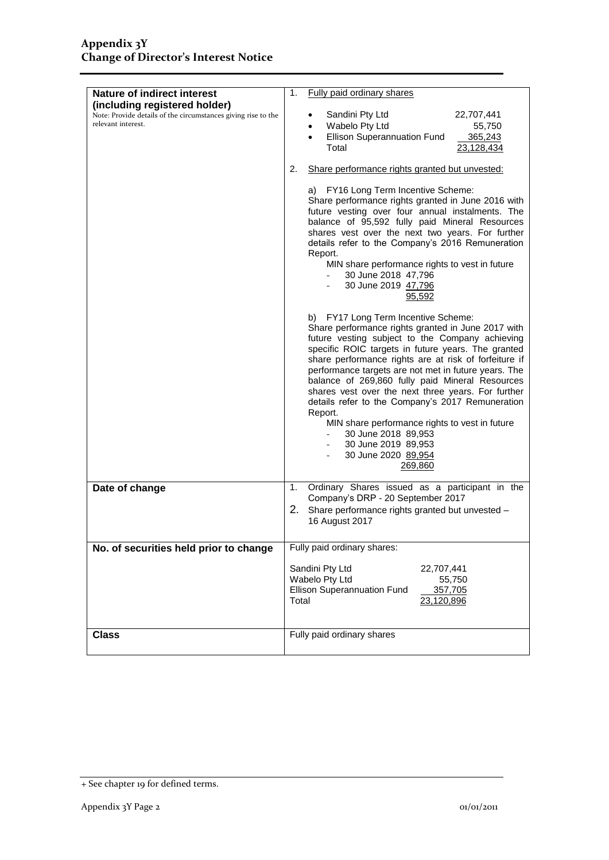| Nature of indirect interest                                                                                          | Fully paid ordinary shares<br>1.                                                                                                                                                                                                                                                                                                                                                                                                                                                                                                                                                                                                                                                                                                                                                                                                                                                                                                                                                                                                                              |  |  |
|----------------------------------------------------------------------------------------------------------------------|---------------------------------------------------------------------------------------------------------------------------------------------------------------------------------------------------------------------------------------------------------------------------------------------------------------------------------------------------------------------------------------------------------------------------------------------------------------------------------------------------------------------------------------------------------------------------------------------------------------------------------------------------------------------------------------------------------------------------------------------------------------------------------------------------------------------------------------------------------------------------------------------------------------------------------------------------------------------------------------------------------------------------------------------------------------|--|--|
| (including registered holder)<br>Note: Provide details of the circumstances giving rise to the<br>relevant interest. | Sandini Pty Ltd<br>22,707,441<br>Wabelo Pty Ltd<br>55,750<br>Ellison Superannuation Fund<br>365,243<br>Total<br>23,128,434                                                                                                                                                                                                                                                                                                                                                                                                                                                                                                                                                                                                                                                                                                                                                                                                                                                                                                                                    |  |  |
|                                                                                                                      | Share performance rights granted but unvested:<br>2.                                                                                                                                                                                                                                                                                                                                                                                                                                                                                                                                                                                                                                                                                                                                                                                                                                                                                                                                                                                                          |  |  |
|                                                                                                                      | a) FY16 Long Term Incentive Scheme:<br>Share performance rights granted in June 2016 with<br>future vesting over four annual instalments. The<br>balance of 95,592 fully paid Mineral Resources<br>shares vest over the next two years. For further<br>details refer to the Company's 2016 Remuneration<br>Report.<br>MIN share performance rights to vest in future<br>30 June 2018 47,796<br>30 June 2019 47,796<br>95,592<br>b) FY17 Long Term Incentive Scheme:<br>Share performance rights granted in June 2017 with<br>future vesting subject to the Company achieving<br>specific ROIC targets in future years. The granted<br>share performance rights are at risk of forfeiture if<br>performance targets are not met in future years. The<br>balance of 269,860 fully paid Mineral Resources<br>shares vest over the next three years. For further<br>details refer to the Company's 2017 Remuneration<br>Report.<br>MIN share performance rights to vest in future<br>30 June 2018 89,953<br>30 June 2019 89,953<br>30 June 2020 89,954<br>269,860 |  |  |
|                                                                                                                      |                                                                                                                                                                                                                                                                                                                                                                                                                                                                                                                                                                                                                                                                                                                                                                                                                                                                                                                                                                                                                                                               |  |  |
| Date of change                                                                                                       | Ordinary Shares issued as a participant in the<br>1.<br>Company's DRP - 20 September 2017                                                                                                                                                                                                                                                                                                                                                                                                                                                                                                                                                                                                                                                                                                                                                                                                                                                                                                                                                                     |  |  |
|                                                                                                                      | 2. Share performance rights granted but unvested -<br>16 August 2017                                                                                                                                                                                                                                                                                                                                                                                                                                                                                                                                                                                                                                                                                                                                                                                                                                                                                                                                                                                          |  |  |
| No. of securities held prior to change                                                                               | Fully paid ordinary shares:                                                                                                                                                                                                                                                                                                                                                                                                                                                                                                                                                                                                                                                                                                                                                                                                                                                                                                                                                                                                                                   |  |  |
|                                                                                                                      | Sandini Pty Ltd<br>22,707,441<br>Wabelo Pty Ltd<br>55,750<br>Ellison Superannuation Fund<br>357,705<br>Total<br>23,120,896                                                                                                                                                                                                                                                                                                                                                                                                                                                                                                                                                                                                                                                                                                                                                                                                                                                                                                                                    |  |  |
| <b>Class</b>                                                                                                         | Fully paid ordinary shares                                                                                                                                                                                                                                                                                                                                                                                                                                                                                                                                                                                                                                                                                                                                                                                                                                                                                                                                                                                                                                    |  |  |

<sup>+</sup> See chapter 19 for defined terms.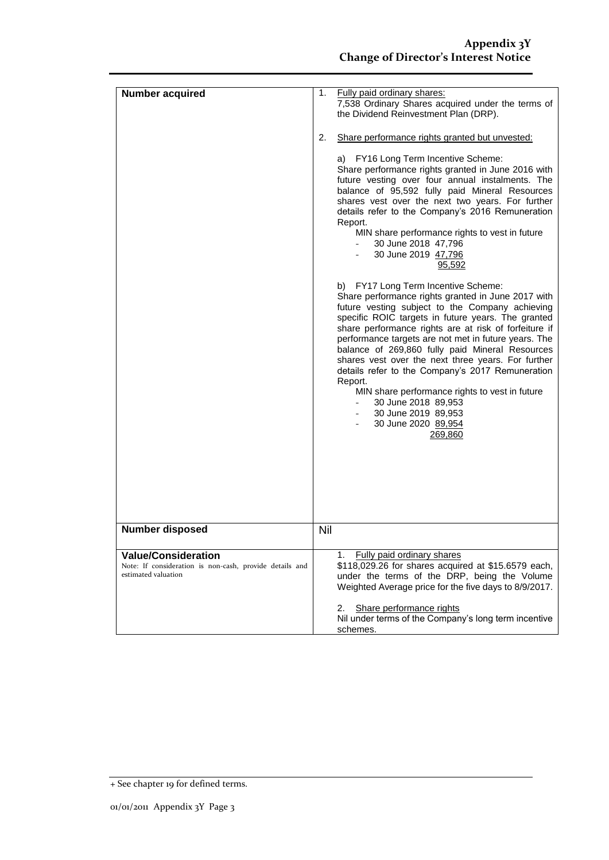| <b>Number acquired</b>                                                                                       | 1.<br>2. | Fully paid ordinary shares:<br>7,538 Ordinary Shares acquired under the terms of<br>the Dividend Reinvestment Plan (DRP).<br>Share performance rights granted but unvested:                                                                                                                                                                                                                                                                                                                                                                                                                                                   |
|--------------------------------------------------------------------------------------------------------------|----------|-------------------------------------------------------------------------------------------------------------------------------------------------------------------------------------------------------------------------------------------------------------------------------------------------------------------------------------------------------------------------------------------------------------------------------------------------------------------------------------------------------------------------------------------------------------------------------------------------------------------------------|
|                                                                                                              |          | a) FY16 Long Term Incentive Scheme:<br>Share performance rights granted in June 2016 with<br>future vesting over four annual instalments. The<br>balance of 95,592 fully paid Mineral Resources<br>shares vest over the next two years. For further<br>details refer to the Company's 2016 Remuneration<br>Report.<br>MIN share performance rights to vest in future<br>30 June 2018 47,796<br>30 June 2019 47,796<br>95,592                                                                                                                                                                                                  |
|                                                                                                              |          | b) FY17 Long Term Incentive Scheme:<br>Share performance rights granted in June 2017 with<br>future vesting subject to the Company achieving<br>specific ROIC targets in future years. The granted<br>share performance rights are at risk of forfeiture if<br>performance targets are not met in future years. The<br>balance of 269,860 fully paid Mineral Resources<br>shares vest over the next three years. For further<br>details refer to the Company's 2017 Remuneration<br>Report.<br>MIN share performance rights to vest in future<br>30 June 2018 89,953<br>30 June 2019 89,953<br>30 June 2020 89,954<br>269,860 |
| <b>Number disposed</b>                                                                                       | Nil      |                                                                                                                                                                                                                                                                                                                                                                                                                                                                                                                                                                                                                               |
| <b>Value/Consideration</b><br>Note: If consideration is non-cash, provide details and<br>estimated valuation |          | Fully paid ordinary shares<br>1.<br>\$118,029.26 for shares acquired at \$15.6579 each,<br>under the terms of the DRP, being the Volume<br>Weighted Average price for the five days to 8/9/2017.                                                                                                                                                                                                                                                                                                                                                                                                                              |
|                                                                                                              |          | Share performance rights<br>2.<br>Nil under terms of the Company's long term incentive<br>schemes.                                                                                                                                                                                                                                                                                                                                                                                                                                                                                                                            |

<sup>+</sup> See chapter 19 for defined terms.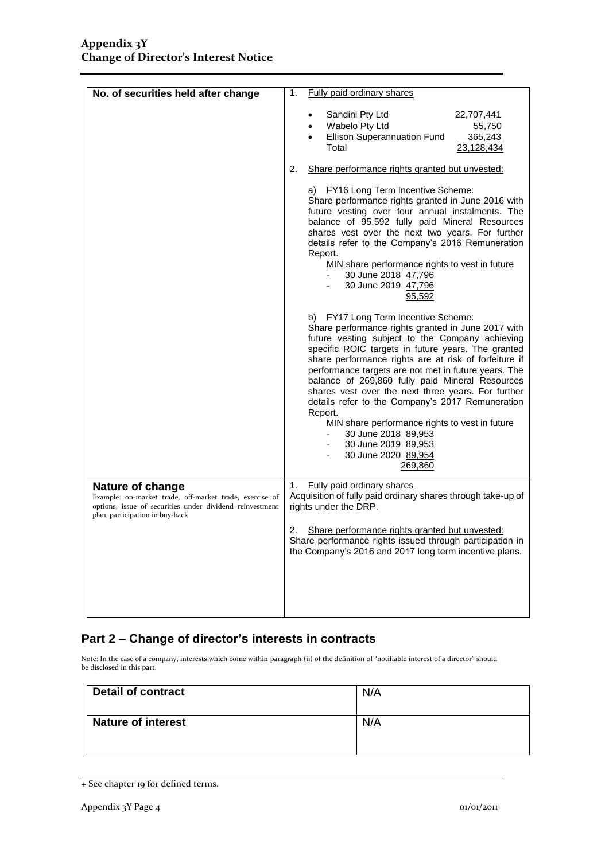| No. of securities held after change                                                                                                                                        | 1.                                                   | Fully paid ordinary shares                                                                                                                                                                                                                                                                                                                                                                                                                                                                                                                                                                                                    |
|----------------------------------------------------------------------------------------------------------------------------------------------------------------------------|------------------------------------------------------|-------------------------------------------------------------------------------------------------------------------------------------------------------------------------------------------------------------------------------------------------------------------------------------------------------------------------------------------------------------------------------------------------------------------------------------------------------------------------------------------------------------------------------------------------------------------------------------------------------------------------------|
|                                                                                                                                                                            |                                                      | Sandini Pty Ltd<br>22,707,441<br>Wabelo Pty Ltd<br>55,750<br>$\bullet$<br>Ellison Superannuation Fund<br>365,243<br>Total<br>23,128,434                                                                                                                                                                                                                                                                                                                                                                                                                                                                                       |
|                                                                                                                                                                            | Share performance rights granted but unvested:<br>2. |                                                                                                                                                                                                                                                                                                                                                                                                                                                                                                                                                                                                                               |
|                                                                                                                                                                            |                                                      | a) FY16 Long Term Incentive Scheme:<br>Share performance rights granted in June 2016 with<br>future vesting over four annual instalments. The<br>balance of 95,592 fully paid Mineral Resources<br>shares vest over the next two years. For further<br>details refer to the Company's 2016 Remuneration<br>Report.<br>MIN share performance rights to vest in future<br>30 June 2018 47,796<br>30 June 2019 47,796<br>95,592                                                                                                                                                                                                  |
|                                                                                                                                                                            |                                                      | b) FY17 Long Term Incentive Scheme:<br>Share performance rights granted in June 2017 with<br>future vesting subject to the Company achieving<br>specific ROIC targets in future years. The granted<br>share performance rights are at risk of forfeiture if<br>performance targets are not met in future years. The<br>balance of 269,860 fully paid Mineral Resources<br>shares vest over the next three years. For further<br>details refer to the Company's 2017 Remuneration<br>Report.<br>MIN share performance rights to vest in future<br>30 June 2018 89,953<br>30 June 2019 89,953<br>30 June 2020 89,954<br>269,860 |
| Nature of change<br>Example: on-market trade, off-market trade, exercise of<br>options, issue of securities under dividend reinvestment<br>plan, participation in buy-back | 1.                                                   | Fully paid ordinary shares<br>Acquisition of fully paid ordinary shares through take-up of<br>rights under the DRP.                                                                                                                                                                                                                                                                                                                                                                                                                                                                                                           |
|                                                                                                                                                                            | 2.                                                   | Share performance rights granted but unvested:<br>Share performance rights issued through participation in<br>the Company's 2016 and 2017 long term incentive plans.                                                                                                                                                                                                                                                                                                                                                                                                                                                          |
|                                                                                                                                                                            |                                                      |                                                                                                                                                                                                                                                                                                                                                                                                                                                                                                                                                                                                                               |

### **Part 2 – Change of director's interests in contracts**

Note: In the case of a company, interests which come within paragraph (ii) of the definition of "notifiable interest of a director" should be disclosed in this part.

| <b>Detail of contract</b> | N/A |
|---------------------------|-----|
| <b>Nature of interest</b> | N/A |

<sup>+</sup> See chapter 19 for defined terms.